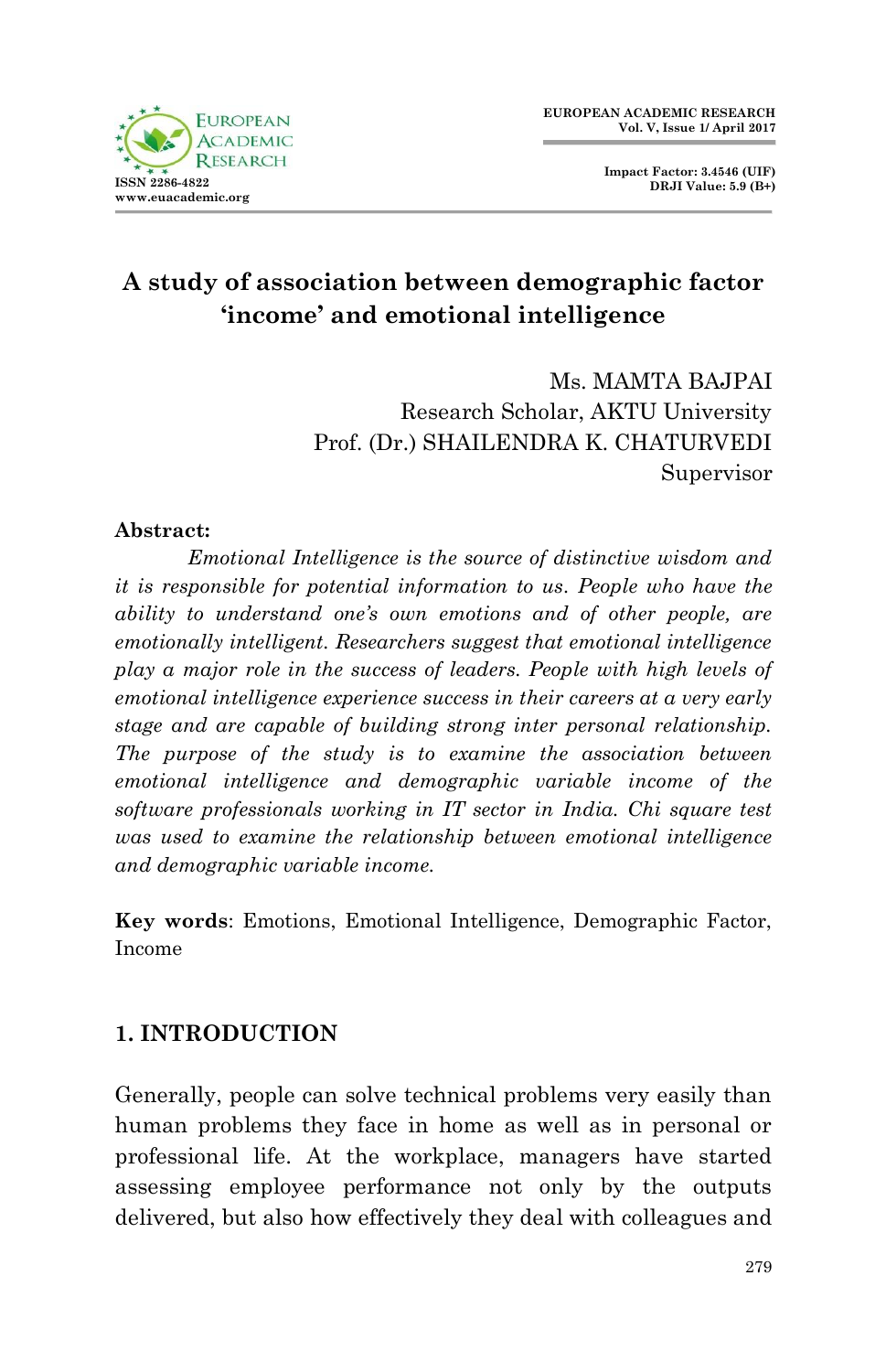

**Impact Factor: 3.4546 (UIF) DRJI Value: 5.9 (B+)**

# **A study of association between demographic factor 'income' and emotional intelligence**

Ms. MAMTA BAJPAI Research Scholar, AKTU University Prof. (Dr.) SHAILENDRA K. CHATURVEDI Supervisor

#### **Abstract:**

*Emotional Intelligence is the source of distinctive wisdom and it is responsible for potential information to us. People who have the ability to understand one's own emotions and of other people, are emotionally intelligent. Researchers suggest that emotional intelligence play a major role in the success of leaders. People with high levels of emotional intelligence experience success in their careers at a very early stage and are capable of building strong inter personal relationship. The purpose of the study is to examine the association between emotional intelligence and demographic variable income of the software professionals working in IT sector in India. Chi square test was used to examine the relationship between emotional intelligence and demographic variable income.*

**Key words**: Emotions, Emotional Intelligence, Demographic Factor, Income

### **1. INTRODUCTION**

Generally, people can solve technical problems very easily than human problems they face in home as well as in personal or professional life. At the workplace, managers have started assessing employee performance not only by the outputs delivered, but also how effectively they deal with colleagues and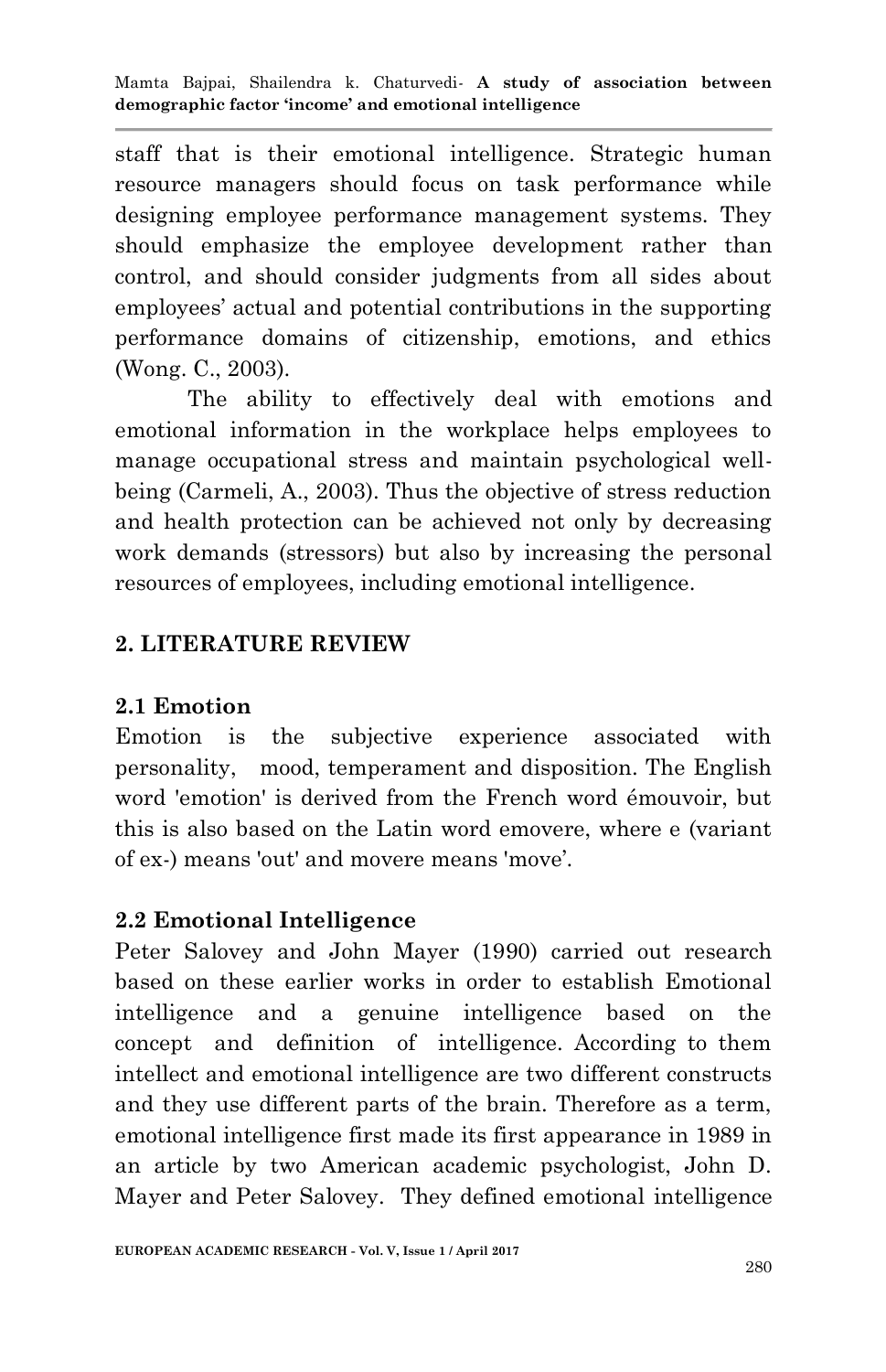staff that is their emotional intelligence. Strategic human resource managers should focus on task performance while designing employee performance management systems. They should emphasize the employee development rather than control, and should consider judgments from all sides about employees' actual and potential contributions in the supporting performance domains of citizenship, emotions, and ethics (Wong. C., 2003).

The ability to effectively deal with emotions and emotional information in the workplace helps employees to manage occupational stress and maintain psychological wellbeing (Carmeli, A., 2003). Thus the objective of stress reduction and health protection can be achieved not only by decreasing work demands (stressors) but also by increasing the personal resources of employees, including emotional intelligence.

# **2. LITERATURE REVIEW**

# **2.1 Emotion**

Emotion is the subjective experience associated with personality, mood, temperament and disposition. The English word 'emotion' is derived from the French word émouvoir, but this is also based on the Latin word emovere, where e (variant of ex-) means 'out' and movere means 'move".

# **2.2 Emotional Intelligence**

Peter Salovey and John Mayer (1990) carried out research based on these earlier works in order to establish Emotional intelligence and a genuine intelligence based on the concept and definition of intelligence. According to them intellect and emotional intelligence are two different constructs and they use different parts of the brain. Therefore as a term, emotional intelligence first made its first appearance in 1989 in an article by two American academic psychologist, John D. Mayer and Peter Salovey. They defined emotional intelligence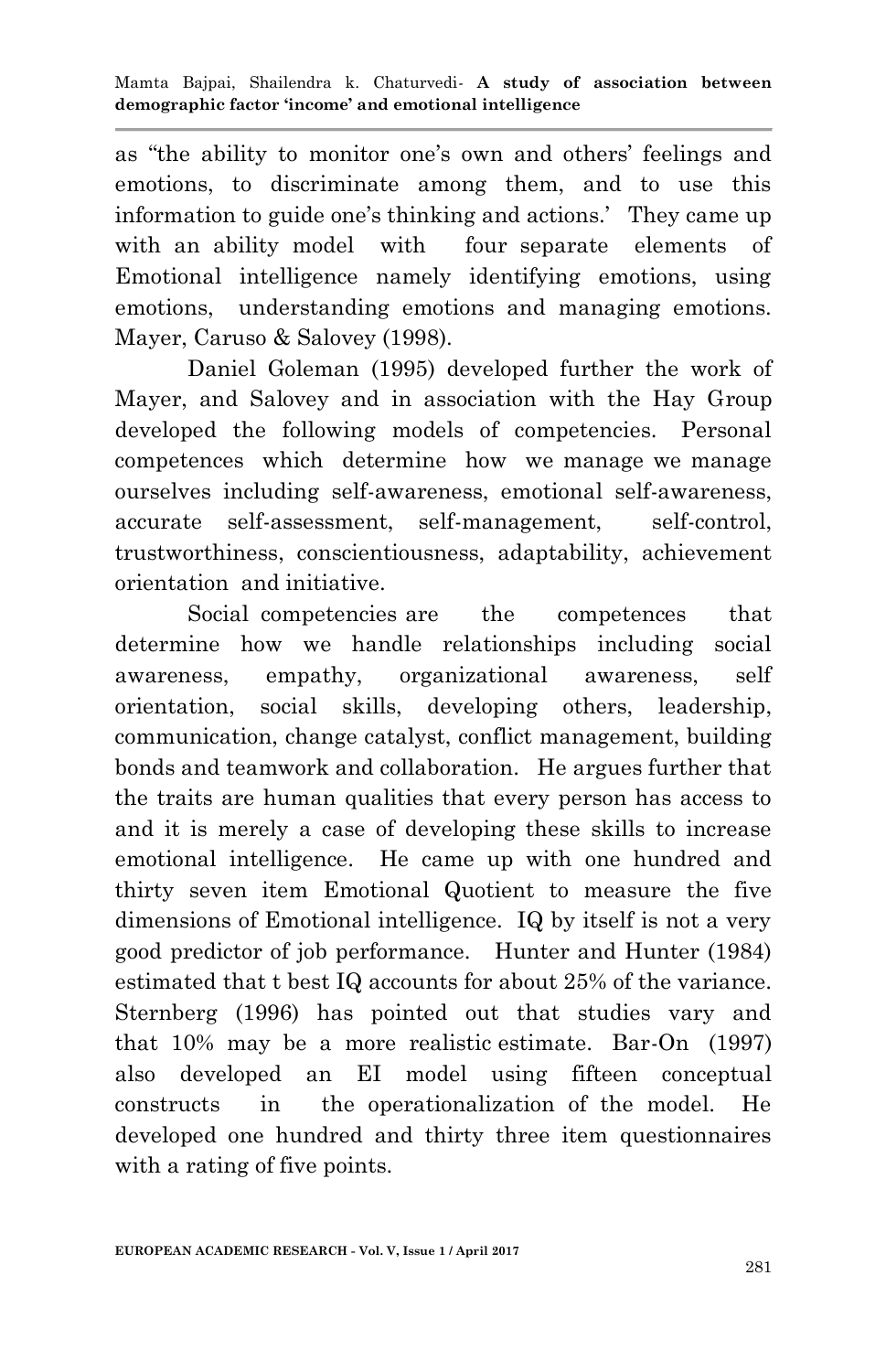as "the ability to monitor one's own and others' feelings and emotions, to discriminate among them, and to use this information to guide one's thinking and actions.' They came up with an ability model with four separate elements of Emotional intelligence namely identifying emotions, using emotions, understanding emotions and managing emotions. Mayer, Caruso & Salovey (1998).

Daniel Goleman (1995) developed further the work of Mayer, and Salovey and in association with the Hay Group developed the following models of competencies. Personal competences which determine how we manage we manage ourselves including self-awareness, emotional self-awareness, accurate self-assessment, self-management, self-control, trustworthiness, conscientiousness, adaptability, achievement orientation and initiative.

Social competencies are the competences that determine how we handle relationships including social awareness, empathy, organizational awareness, self orientation, social skills, developing others, leadership, communication, change catalyst, conflict management, building bonds and teamwork and collaboration. He argues further that the traits are human qualities that every person has access to and it is merely a case of developing these skills to increase emotional intelligence. He came up with one hundred and thirty seven item Emotional Quotient to measure the five dimensions of Emotional intelligence. IQ by itself is not a very good predictor of job performance. Hunter and Hunter (1984) estimated that t best IQ accounts for about 25% of the variance. Sternberg (1996) has pointed out that studies vary and that 10% may be a more realistic estimate. Bar-On (1997) also developed an EI model using fifteen conceptual constructs in the operationalization of the model. He developed one hundred and thirty three item questionnaires with a rating of five points.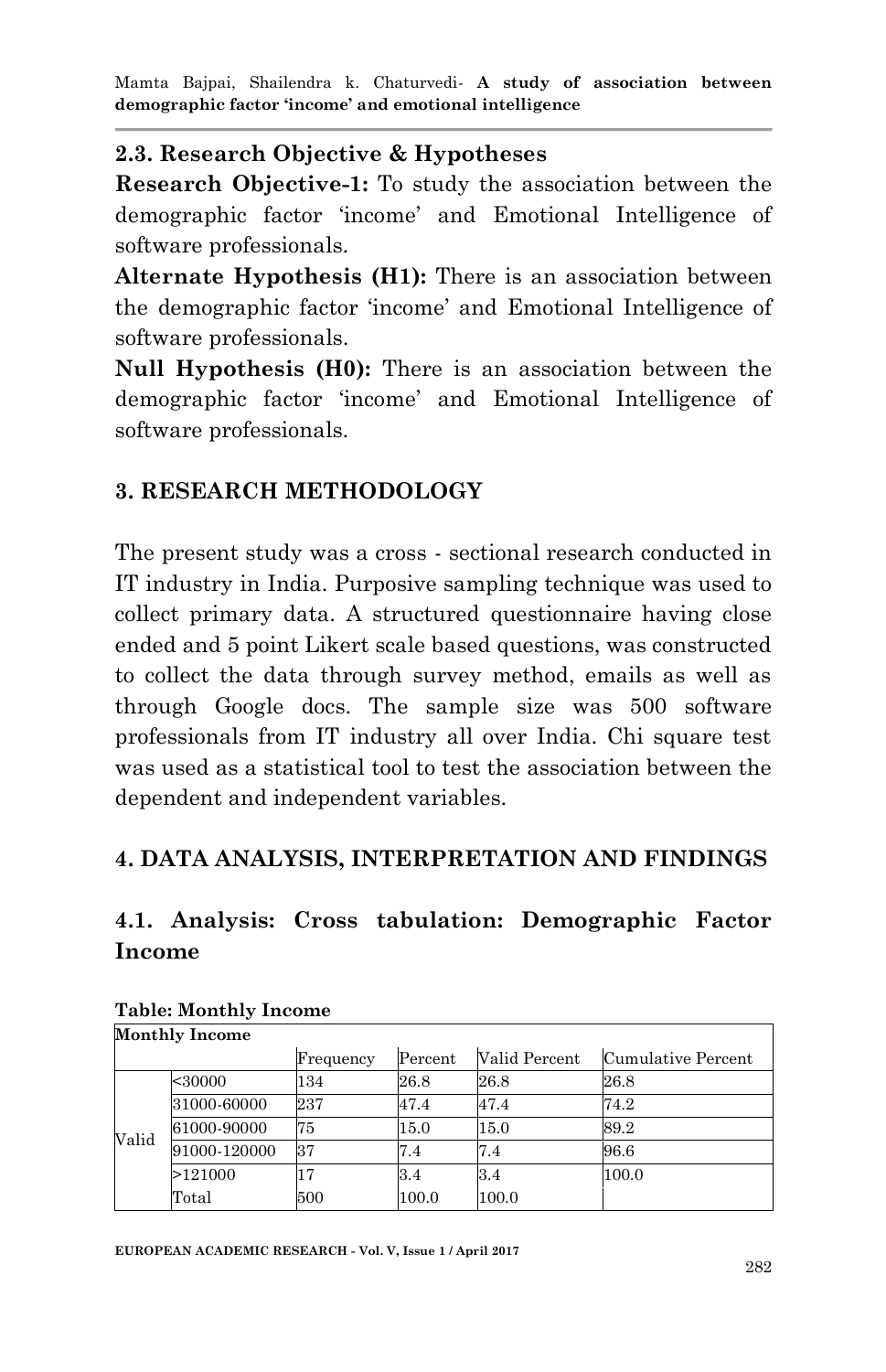#### **2.3. Research Objective & Hypotheses**

**Research Objective-1:** To study the association between the demographic factor "income" and Emotional Intelligence of software professionals.

**Alternate Hypothesis (H1):** There is an association between the demographic factor "income" and Emotional Intelligence of software professionals.

**Null Hypothesis (H0):** There is an association between the demographic factor "income" and Emotional Intelligence of software professionals.

### **3. RESEARCH METHODOLOGY**

The present study was a cross - sectional research conducted in IT industry in India. Purposive sampling technique was used to collect primary data. A structured questionnaire having close ended and 5 point Likert scale based questions, was constructed to collect the data through survey method, emails as well as through Google docs. The sample size was 500 software professionals from IT industry all over India. Chi square test was used as a statistical tool to test the association between the dependent and independent variables.

### **4. DATA ANALYSIS, INTERPRETATION AND FINDINGS**

# **4.1. Analysis: Cross tabulation: Demographic Factor Income**

#### **Monthly Income** Frequency Percent Valid Percent Cumulative Percent Valid <30000 134 26.8 26.8 26.8 31000-60000 237 47.4 47.4 74.2 61000-90000 75 15.0 15.0 89.2 91000-120000 37 7.4 7.4 96.6  $>121000$  |17  $\quad 3.4$  |3.4  $\quad 100.0$ Total 500 100.0 100.0

### **Table: Monthly Income**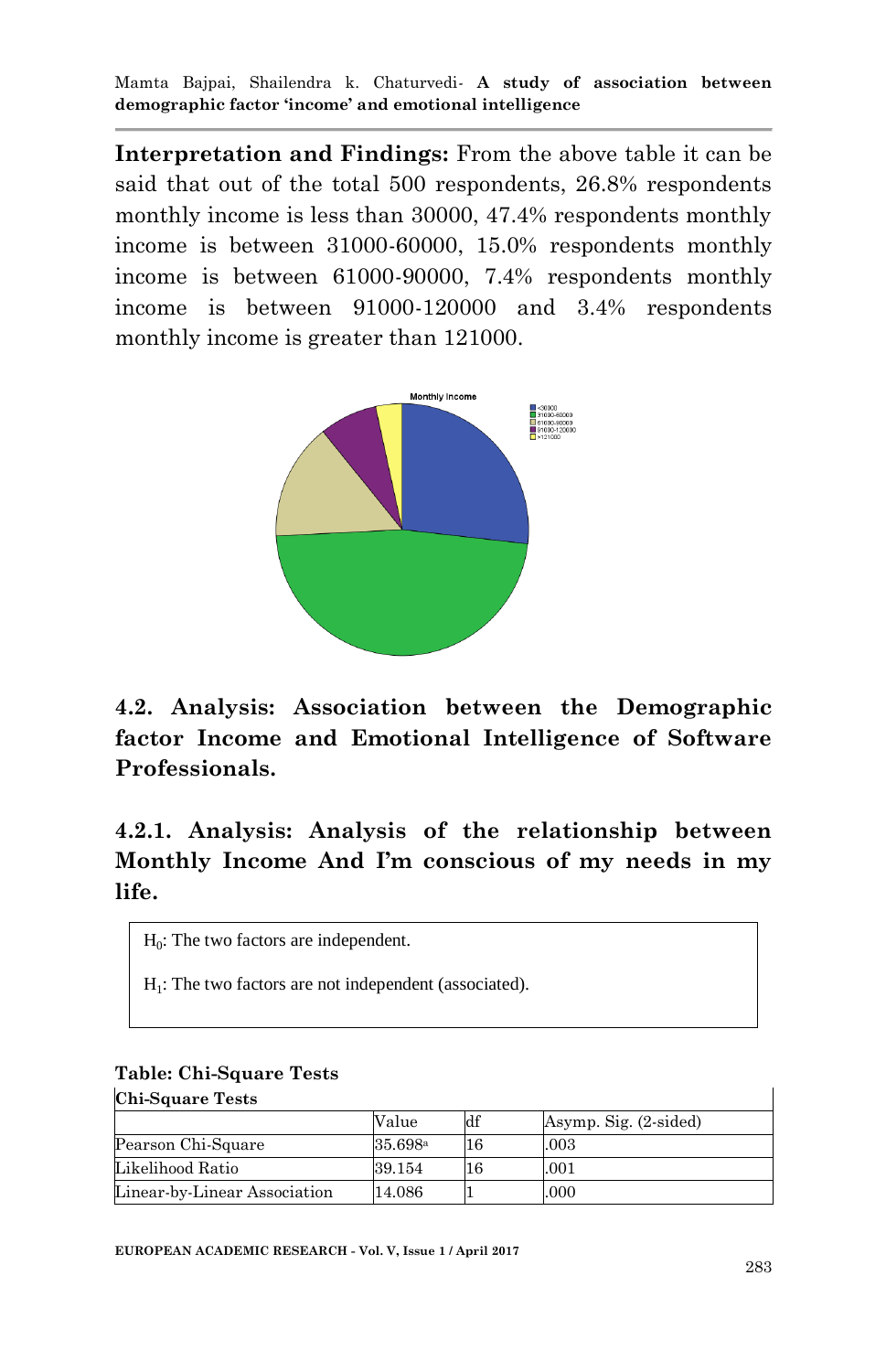**Interpretation and Findings:** From the above table it can be said that out of the total 500 respondents, 26.8% respondents monthly income is less than 30000, 47.4% respondents monthly income is between 31000-60000, 15.0% respondents monthly income is between 61000-90000, 7.4% respondents monthly income is between 91000-120000 and 3.4% respondents monthly income is greater than 121000.



**4.2. Analysis: Association between the Demographic factor Income and Emotional Intelligence of Software Professionals.**

# **4.2.1. Analysis: Analysis of the relationship between Monthly Income And I'm conscious of my needs in my life.**

 $H_0$ : The two factors are independent.

H<sub>1</sub>: The two factors are not independent (associated).

| <b>Chi-Square Tests</b>      |                     |    |                       |  |  |  |  |  |
|------------------------------|---------------------|----|-----------------------|--|--|--|--|--|
|                              | Value               | di | Asymp. Sig. (2-sided) |  |  |  |  |  |
| Pearson Chi-Square           | 35.698 <sup>a</sup> | 16 | .003                  |  |  |  |  |  |
| Likelihood Ratio             | 39.154              | 16 | .001                  |  |  |  |  |  |
| Linear-by-Linear Association | 14.086              |    | .000                  |  |  |  |  |  |

Tool Used: Chi Square Test (Analyze Descriptive

#### **Table: Chi-Square Tests**

**EUROPEAN ACADEMIC RESEARCH - Vol. V, Issue 1 / April 2017**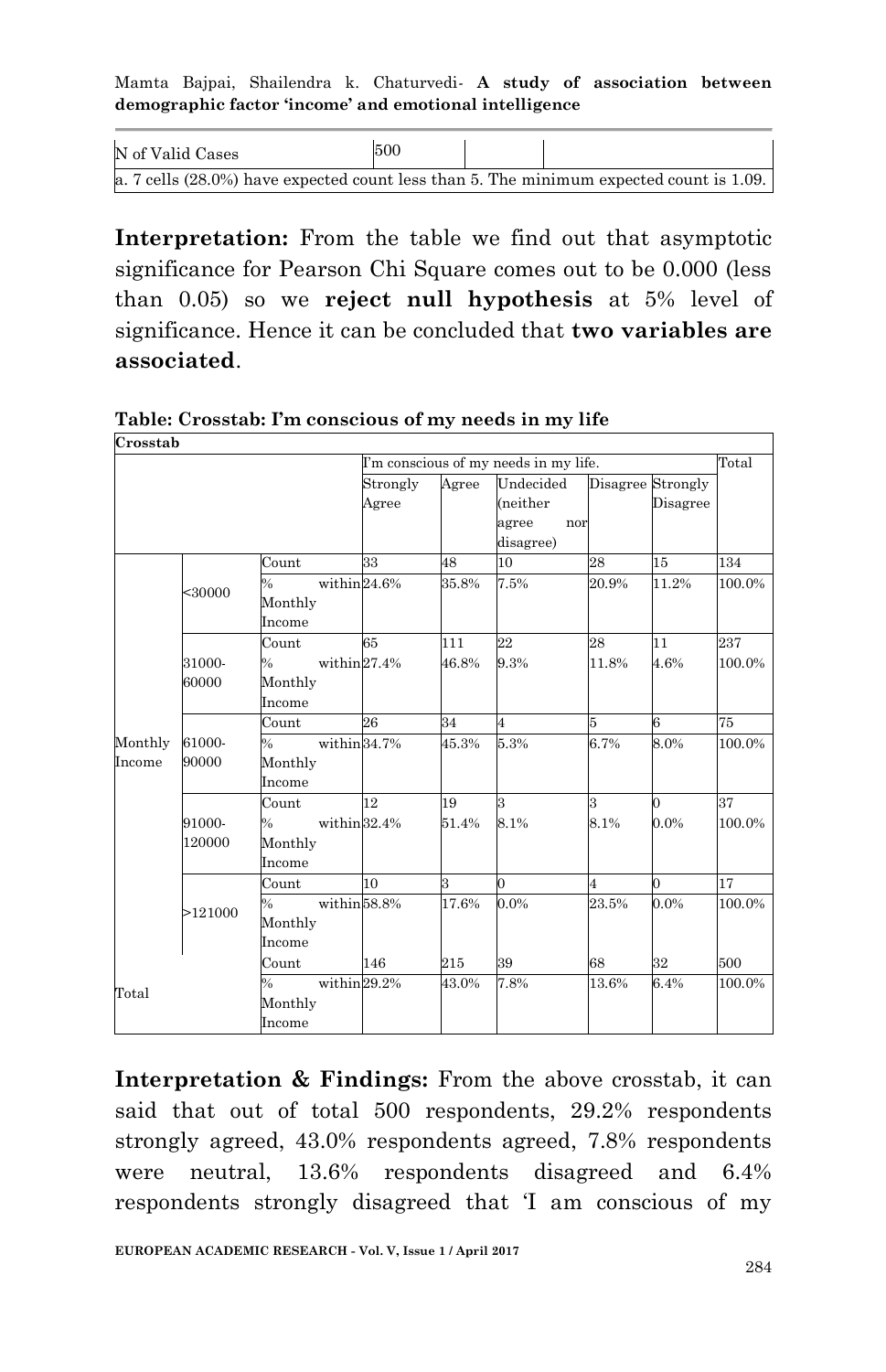| N of Valid Cases                                                                           | 500 |  |
|--------------------------------------------------------------------------------------------|-----|--|
| a. 7 cells $(28.0\%)$ have expected count less than 5. The minimum expected count is 1.09. |     |  |

**Interpretation:** From the table we find out that asymptotic significance for Pearson Chi Square comes out to be 0.000 (less than 0.05) so we **reject null hypothesis** at 5% level of significance. Hence it can be concluded that **two variables are associated**.

| Crosstab |           |                      |             |       |                                       |                |                   |        |
|----------|-----------|----------------------|-------------|-------|---------------------------------------|----------------|-------------------|--------|
|          |           |                      |             |       | I'm conscious of my needs in my life. |                |                   | Total  |
|          |           |                      | Strongly    | Agree | Undecided                             |                | Disagree Strongly |        |
|          |           |                      | Agree       |       | (neither                              |                | Disagree          |        |
|          |           |                      |             |       | agree<br>nor                          |                |                   |        |
|          |           |                      |             |       | disagree)                             |                |                   |        |
|          |           | Count                | 33          | 48    | 10                                    | 28             | 15                | 134    |
|          | $<$ 30000 | $\frac{0}{6}$        | within24.6% | 35.8% | 7.5%                                  | 20.9%          | 11.2%             | 100.0% |
|          |           | Monthly              |             |       |                                       |                |                   |        |
|          |           | Income               |             |       |                                       |                |                   |        |
|          |           | Count                | 65          | 111   | 22                                    | 28             | 11                | 237    |
|          | 31000-    | within27.4%<br>$\%$  |             | 46.8% | 9.3%                                  | 11.8%          | 4.6%              | 100.0% |
|          | 60000     | Monthly              |             |       |                                       |                |                   |        |
|          |           | Income               |             |       |                                       |                |                   |        |
|          |           | Count                | 26          | 34    | $\overline{4}$                        | 5              | 6                 | 75     |
| Monthly  | 61000-    | within 34.7%<br>$\%$ |             | 45.3% | 5.3%                                  | 6.7%           | 8.0%              | 100.0% |
| Income   | 90000     | Monthly              |             |       |                                       |                |                   |        |
|          |           | Income               |             |       |                                       |                |                   |        |
|          |           | Count                | 12          | 19    | 3                                     | 3              | l0.               | 37     |
|          | 91000-    | within 32.4%<br>$\%$ |             | 51.4% | 8.1%                                  | 8.1%           | 0.0%              | 100.0% |
|          | 120000    | Monthly              |             |       |                                       |                |                   |        |
|          |           | Income               |             |       |                                       |                |                   |        |
|          |           | Count                | 10          | 3     | $\Omega$                              | $\overline{4}$ | l0.               | 17     |
|          | >121000   | within 58.8%<br>$\%$ |             | 17.6% | 0.0%                                  | 23.5%          | 0.0%              | 100.0% |
|          |           | Monthly              |             |       |                                       |                |                   |        |
|          |           | Income               |             |       |                                       |                |                   |        |
|          |           | Count                | 146         | 215   | 39                                    | 68             | 32                | 500    |
| Total    |           | within 29.2%<br>$\%$ |             | 43.0% | 7.8%                                  | 13.6%          | 6.4%              | 100.0% |
|          |           | Monthly              |             |       |                                       |                |                   |        |
|          |           | Income               |             |       |                                       |                |                   |        |

**Table: Crosstab: I'm conscious of my needs in my life**

**Interpretation & Findings:** From the above crosstab, it can said that out of total 500 respondents, 29.2% respondents strongly agreed, 43.0% respondents agreed, 7.8% respondents were neutral, 13.6% respondents disagreed and 6.4% respondents strongly disagreed that "I am conscious of my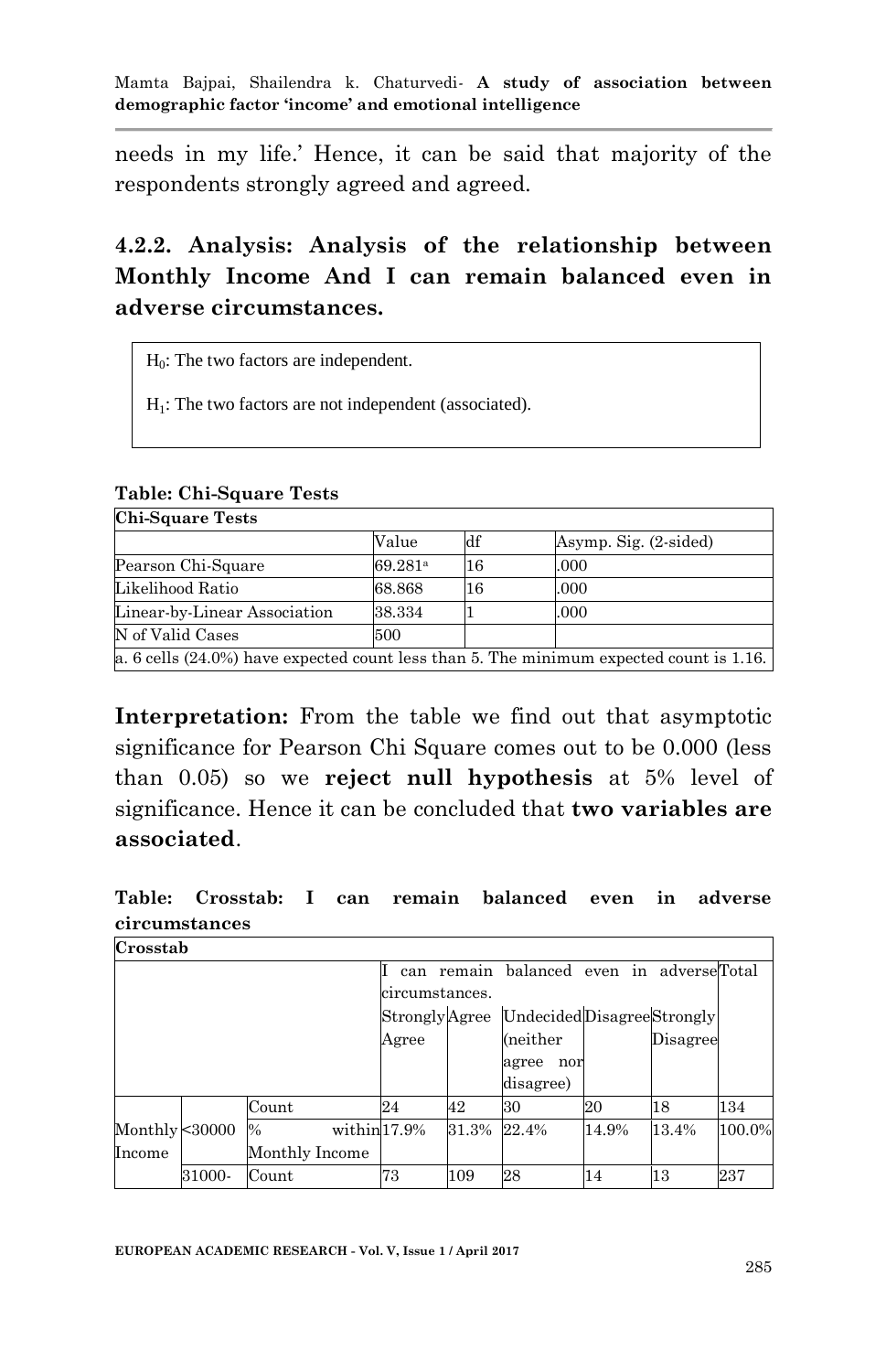needs in my life." Hence, it can be said that majority of the respondents strongly agreed and agreed.

# **4.2.2. Analysis: Analysis of the relationship between Monthly Income And I can remain balanced even in adverse circumstances.**

H<sub>0</sub>: The two factors are independent.

 $H<sub>1</sub>$ : The two factors are not independent (associated).

**Table: Chi-Square Tests Chi-Square Tests**

| <b>UIL DUUALE LESTS</b>      |                     |    |                                                                                            |
|------------------------------|---------------------|----|--------------------------------------------------------------------------------------------|
|                              | Value               | df | Asymp. Sig. (2-sided)                                                                      |
| Pearson Chi-Square           | 69.281 <sup>a</sup> | 16 | .000                                                                                       |
| Likelihood Ratio             | 68.868              | 16 | .000                                                                                       |
| Linear-by-Linear Association | 38.334              |    | .000                                                                                       |
| N of Valid Cases             | 500                 |    |                                                                                            |
|                              |                     |    | a. 6 cells $(24.0\%)$ have expected count less than 5. The minimum expected count is 1.16. |

Tool Used: Chi Square Test (Analyze Descriptive

**Interpretation:** From the table we find out that asymptotic significance for Pearson Chi Square comes out to be 0.000 (less than 0.05) so we **reject null hypothesis** at 5% level of significance. Hence it can be concluded that **two variables are associated**.

#### **Table: Crosstab: I can remain balanced even in adverse circumstances** ٦Ì, **Crosstab**

| UTUSStab         |        |                               |                |       |                                      |       |          |        |
|------------------|--------|-------------------------------|----------------|-------|--------------------------------------|-------|----------|--------|
|                  |        |                               | can            |       | remain balanced even in adverseTotal |       |          |        |
|                  |        |                               | circumstances. |       |                                      |       |          |        |
|                  |        |                               | StronglyAgree  |       | UndecidedDisagreeStrongly            |       |          |        |
|                  |        |                               | Agree          |       | (neither                             |       | Disagree |        |
|                  |        |                               |                |       | agree<br>nor                         |       |          |        |
|                  |        |                               |                |       | disagree)                            |       |          |        |
|                  |        | Count                         | 24             | 42    | 30                                   | 20    | 18       | 134    |
| Monthly $<30000$ |        | $\frac{0}{0}$<br>within 17.9% |                | 31.3% | 22.4%                                | 14.9% | 13.4%    | 100.0% |
| Income           |        | Monthly Income                |                |       |                                      |       |          |        |
|                  | 31000- | Count                         | 73             | 109   | 28                                   | 14    | 13       | 237    |

ľ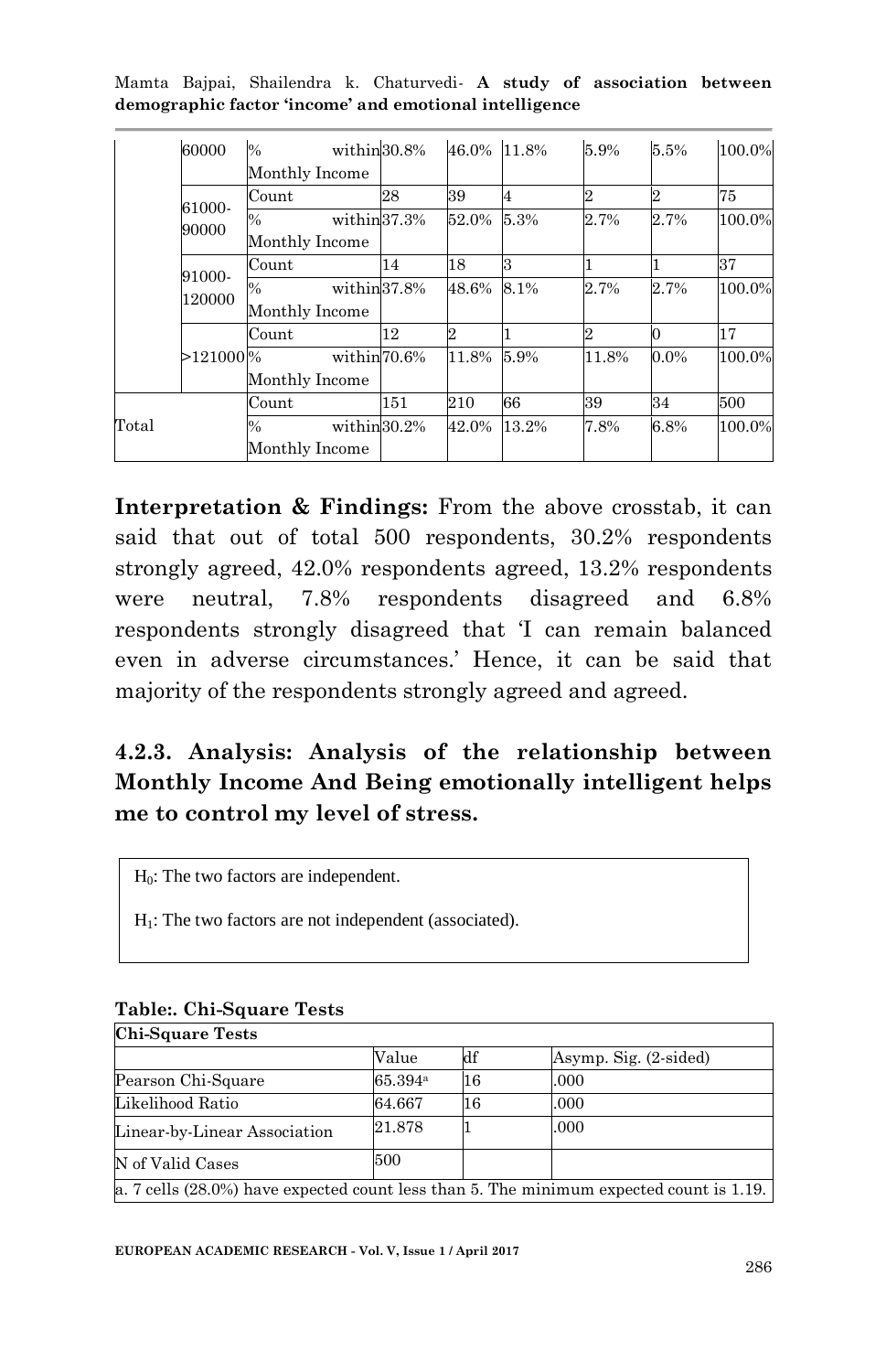|  |  |                                                        |  | Mamta Bajpai, Shailendra k. Chaturvedi- A study of association between |  |
|--|--|--------------------------------------------------------|--|------------------------------------------------------------------------|--|
|  |  | demographic factor 'income' and emotional intelligence |  |                                                                        |  |

|       | 60000            | within 30.8%<br>$\%$    |     | 46.0%          | 11.8% | 5.9%  | 5.5%           | 100.0% |
|-------|------------------|-------------------------|-----|----------------|-------|-------|----------------|--------|
|       |                  | Monthly Income          |     |                |       |       |                |        |
|       | 61000-           | Count                   | 28  | 39             | 4     | 2     | $\overline{2}$ | 75     |
|       | 90000            | within $37.3\%$<br>$\%$ |     | 52.0%          | 5.3%  | 2.7%  | 2.7%           | 100.0% |
|       |                  | Monthly Income          |     |                |       |       |                |        |
|       |                  | Count                   | 14  | 18             | 3     |       |                | 37     |
|       | 91000-<br>120000 | within 37.8%<br>$\%$    |     | 48.6%          | 8.1%  | 2.7%  | 2.7%           | 100.0% |
|       |                  | Monthly Income          |     |                |       |       |                |        |
|       |                  | Count                   | 12  | $\overline{2}$ |       | 2     |                | 17     |
|       | $>121000\%$      | within 70.6%            |     | 11.8%          | 5.9%  | 11.8% | $0.0\%$        | 100.0% |
|       |                  | Monthly Income          |     |                |       |       |                |        |
|       |                  | Count                   | 151 | 210            | 66    | 39    | 34             | 500    |
| Total |                  | within 30.2%<br>$\%$    |     | 42.0%          | 13.2% | 7.8%  | 6.8%           | 100.0% |
|       |                  | Monthly Income          |     |                |       |       |                |        |

**Interpretation & Findings:** From the above crosstab, it can said that out of total 500 respondents, 30.2% respondents strongly agreed, 42.0% respondents agreed, 13.2% respondents were neutral, 7.8% respondents disagreed and 6.8% respondents strongly disagreed that "I can remain balanced even in adverse circumstances." Hence, it can be said that majority of the respondents strongly agreed and agreed.

# **4.2.3. Analysis: Analysis of the relationship between Monthly Income And Being emotionally intelligent helps me to control my level of stress.**

| $H_0$ : The two factors are independent.                  |                       |    |                       |  |  |  |  |  |
|-----------------------------------------------------------|-----------------------|----|-----------------------|--|--|--|--|--|
| $H_1$ : The two factors are not independent (associated). |                       |    |                       |  |  |  |  |  |
|                                                           |                       |    |                       |  |  |  |  |  |
|                                                           |                       |    |                       |  |  |  |  |  |
| Table:. Chi-Square Tests                                  |                       |    |                       |  |  |  |  |  |
| Chi-Square Tests                                          |                       |    |                       |  |  |  |  |  |
|                                                           | Value                 | df | Asymp. Sig. (2-sided) |  |  |  |  |  |
| Pearson Chi-Square                                        | $65.394$ <sup>a</sup> | 16 | .000                  |  |  |  |  |  |

| a carbon cin pquare                                                                        | .      | .  |      |  |
|--------------------------------------------------------------------------------------------|--------|----|------|--|
| Likelihood Ratio                                                                           | 64.667 | 16 | .000 |  |
| Linear-by-Linear Association                                                               | 21.878 |    | .000 |  |
| N of Valid Cases                                                                           | 500    |    |      |  |
| a. 7 cells $(28.0\%)$ have expected count less than 5. The minimum expected count is 1.19. |        |    |      |  |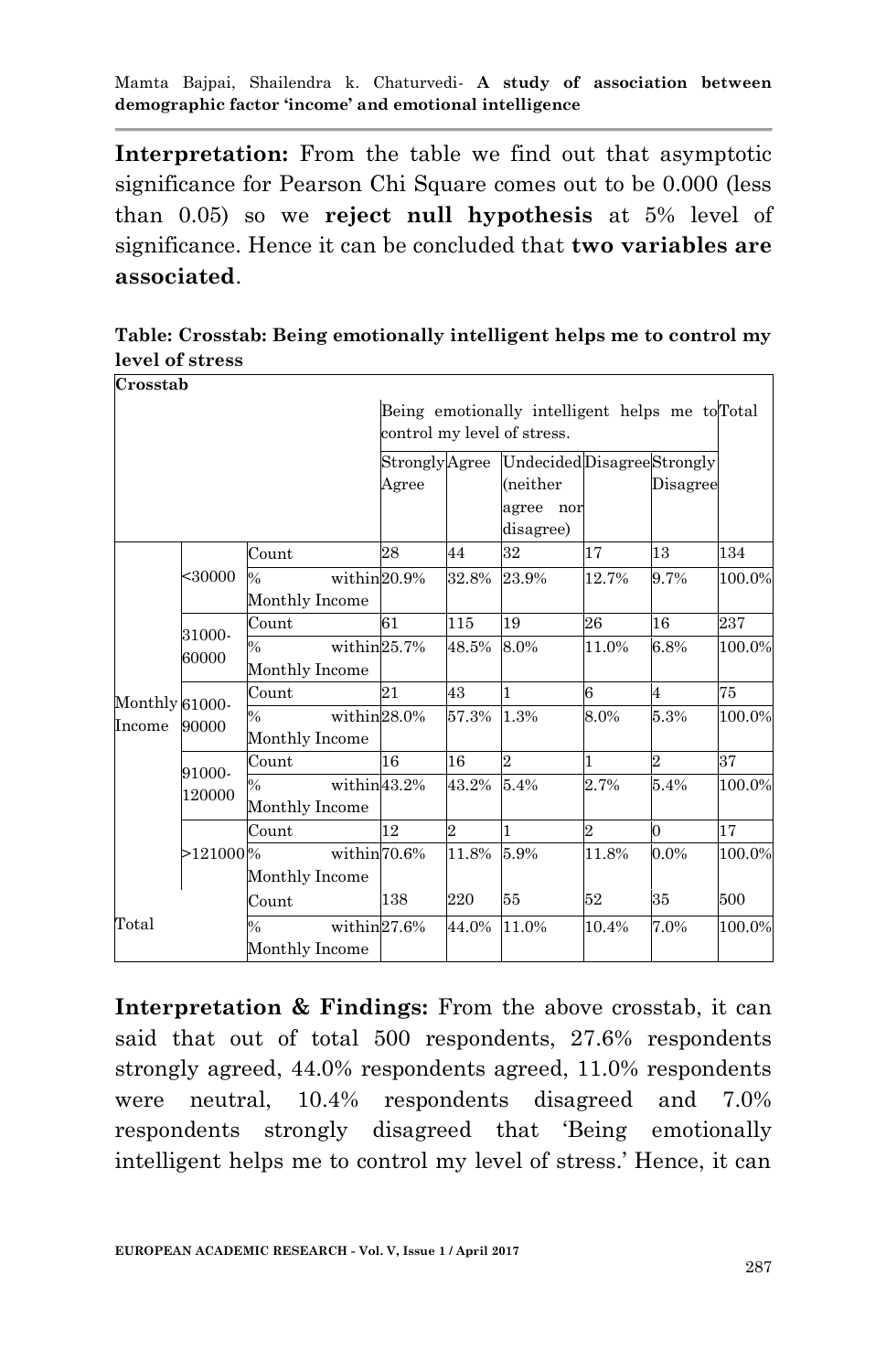**Interpretation:** From the table we find out that asymptotic significance for Pearson Chi Square comes out to be 0.000 (less than 0.05) so we **reject null hypothesis** at 5% level of significance. Hence it can be concluded that **two variables are associated**.

**Table: Crosstab: Being emotionally intelligent helps me to control my level of stress**

| Crosstab |                         |                                                 |                                                                                |                |                                                                                  |                         |                |        |  |
|----------|-------------------------|-------------------------------------------------|--------------------------------------------------------------------------------|----------------|----------------------------------------------------------------------------------|-------------------------|----------------|--------|--|
|          |                         |                                                 | Being emotionally intelligent helps me to Total<br>control my level of stress. |                |                                                                                  |                         |                |        |  |
|          |                         |                                                 | Agree                                                                          |                | Strongly Agree Undecided Disagree Strongly<br>(neither<br>agree nor<br>disagree) |                         | Disagree       |        |  |
|          |                         | Count                                           | 28                                                                             | 44             | 32                                                                               | 17                      | 13             | 134    |  |
|          | <30000                  | within20.9%<br>$\%$<br>Monthly Income           |                                                                                | 32.8%          | 23.9%                                                                            | 12.7%                   | 9.7%           | 100.0% |  |
|          | 31000-<br>60000         | Count                                           | 61                                                                             | 115            | 19                                                                               | 26                      | 16             | 237    |  |
|          |                         | within 25.7%<br>$\frac{0}{6}$<br>Monthly Income |                                                                                | 48.5%          | 8.0%                                                                             | 11.0%                   | 6.8%           | 100.0% |  |
|          | Monthly 61000-<br>90000 | Count                                           | 21                                                                             | 43             | 1                                                                                | 6                       | $\overline{4}$ | 75     |  |
| Income   |                         | $\frac{0}{6}$<br>within28.0%<br>Monthly Income  |                                                                                | 57.3%          | 1.3%                                                                             | 8.0%                    | 5.3%           | 100.0% |  |
|          | 91000-                  | Count                                           | 16                                                                             | 16             | $\overline{2}$                                                                   | 1                       | $\overline{2}$ | 37     |  |
|          | 120000                  | within43.2%<br>$\frac{0}{6}$<br>Monthly Income  |                                                                                | 43.2%          | 5.4%                                                                             | 2.7%                    | 5.4%           | 100.0% |  |
|          |                         | Count                                           | 12                                                                             | $\overline{2}$ | 1                                                                                | $\overline{\mathbf{2}}$ | $\overline{0}$ | 17     |  |
|          | >121000%                | within <sup>70.6%</sup><br>Monthly Income       |                                                                                | 11.8%          | 5.9%                                                                             | 11.8%                   | 0.0%           | 100.0% |  |
|          |                         | Count                                           | 138                                                                            | 220            | 55                                                                               | 52                      | 35             | 500    |  |
| Total    |                         | within27.6%<br>$\frac{0}{6}$<br>Monthly Income  |                                                                                | 44.0%          | 11.0%                                                                            | 10.4%                   | 7.0%           | 100.0% |  |

**Interpretation & Findings:** From the above crosstab, it can said that out of total 500 respondents, 27.6% respondents strongly agreed, 44.0% respondents agreed, 11.0% respondents were neutral, 10.4% respondents disagreed and 7.0% respondents strongly disagreed that "Being emotionally intelligent helps me to control my level of stress." Hence, it can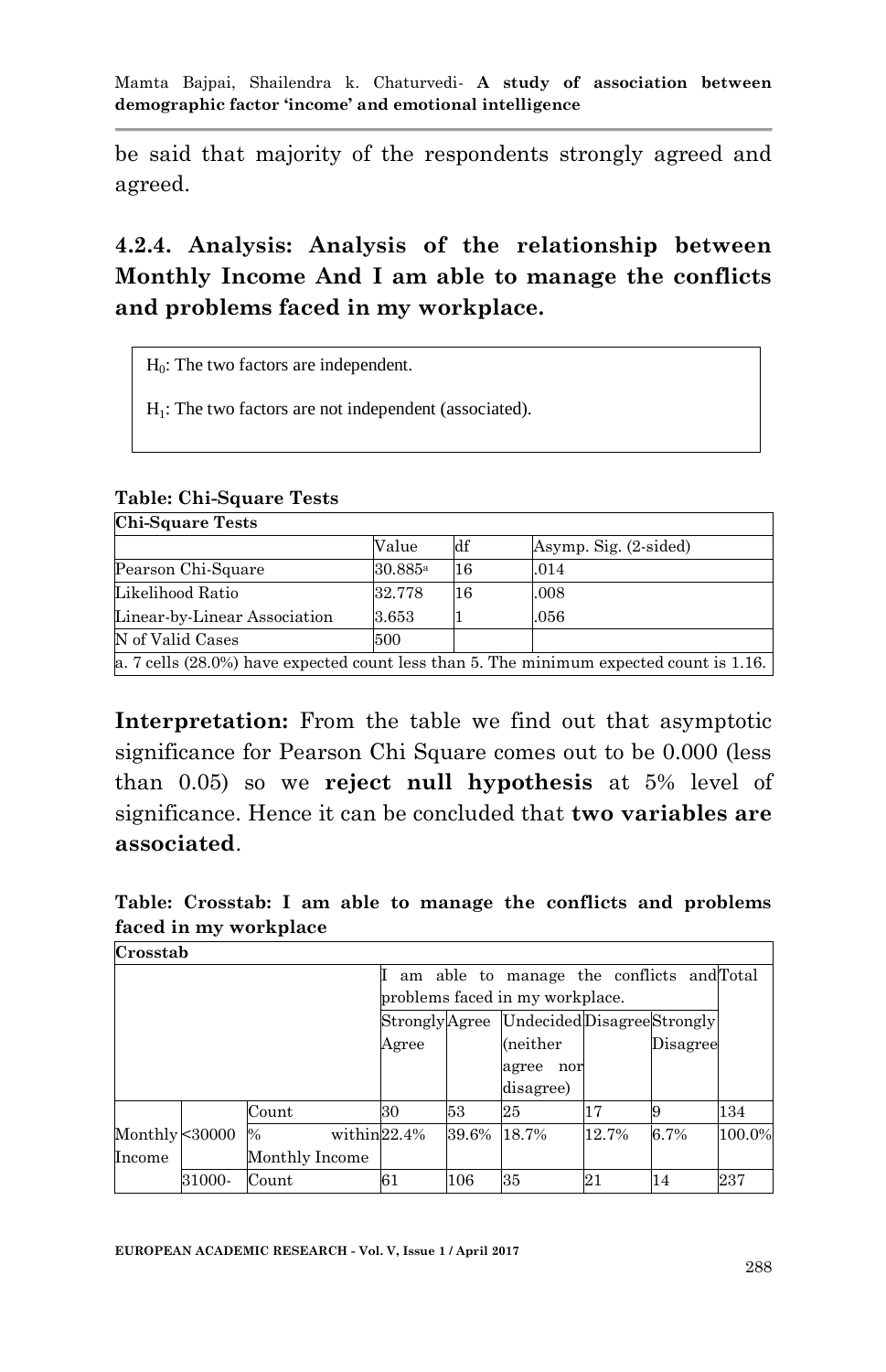be said that majority of the respondents strongly agreed and agreed.

### **4.2.4. Analysis: Analysis of the relationship between Monthly Income And I am able to manage the conflicts and problems faced in my workplace.**

 $H_0$ : The two factors are independent.

H<sub>1</sub>: The two factors are not independent (associated).

#### **Table: Chi-Square Tests**

| <b>Chi-Square Tests</b>      |                  |    |                                                                                            |  |  |  |  |  |
|------------------------------|------------------|----|--------------------------------------------------------------------------------------------|--|--|--|--|--|
|                              | Value            | df | Asymp. Sig. (2-sided)                                                                      |  |  |  |  |  |
| Pearson Chi-Square           | $30.885^{\circ}$ | 16 | .014                                                                                       |  |  |  |  |  |
| Likelihood Ratio             | 32.778           | 16 | .008                                                                                       |  |  |  |  |  |
| Linear-by-Linear Association | 3.653            |    | .056                                                                                       |  |  |  |  |  |
| N of Valid Cases             | 500              |    |                                                                                            |  |  |  |  |  |
|                              |                  |    | a. 7 cells $(28.0\%)$ have expected count less than 5. The minimum expected count is 1.16. |  |  |  |  |  |

Tool Used: Chi Square Test (Analyze Descriptive

**Interpretation:** From the table we find out that asymptotic significance for Pearson Chi Square comes out to be 0.000 (less than 0.05) so we **reject null hypothesis** at 5% level of significance. Hence it can be concluded that **two variables are associated**.

#### **Table: Crosstab: I am able to manage the conflicts and problems faced in my workplace** 1

**Crosstab**

|                   |        |                                  |                                              |       | am able to manage the conflicts and Total |       |          |        |  |
|-------------------|--------|----------------------------------|----------------------------------------------|-------|-------------------------------------------|-------|----------|--------|--|
|                   |        |                                  | problems faced in my workplace.              |       |                                           |       |          |        |  |
|                   |        |                                  | Undecided Disagree Strongly<br>StronglyAgree |       |                                           |       |          |        |  |
|                   |        |                                  | Agree                                        |       | (neither                                  |       | Disagree |        |  |
|                   |        |                                  |                                              |       | agree nor                                 |       |          |        |  |
|                   |        |                                  |                                              |       | disagree)                                 |       |          |        |  |
|                   |        | Count                            | 30                                           | 53    | 25                                        | 17    |          | 134    |  |
| Monthly $<$ 30000 |        | $\frac{0}{6}$<br>within $22.4\%$ |                                              | 39.6% | 18.7%                                     | 12.7% | 6.7%     | 100.0% |  |
| Income            |        | Monthly Income                   |                                              |       |                                           |       |          |        |  |
|                   | 31000- | Count                            | 61                                           | 106   | 35                                        | 21    | 14       | 237    |  |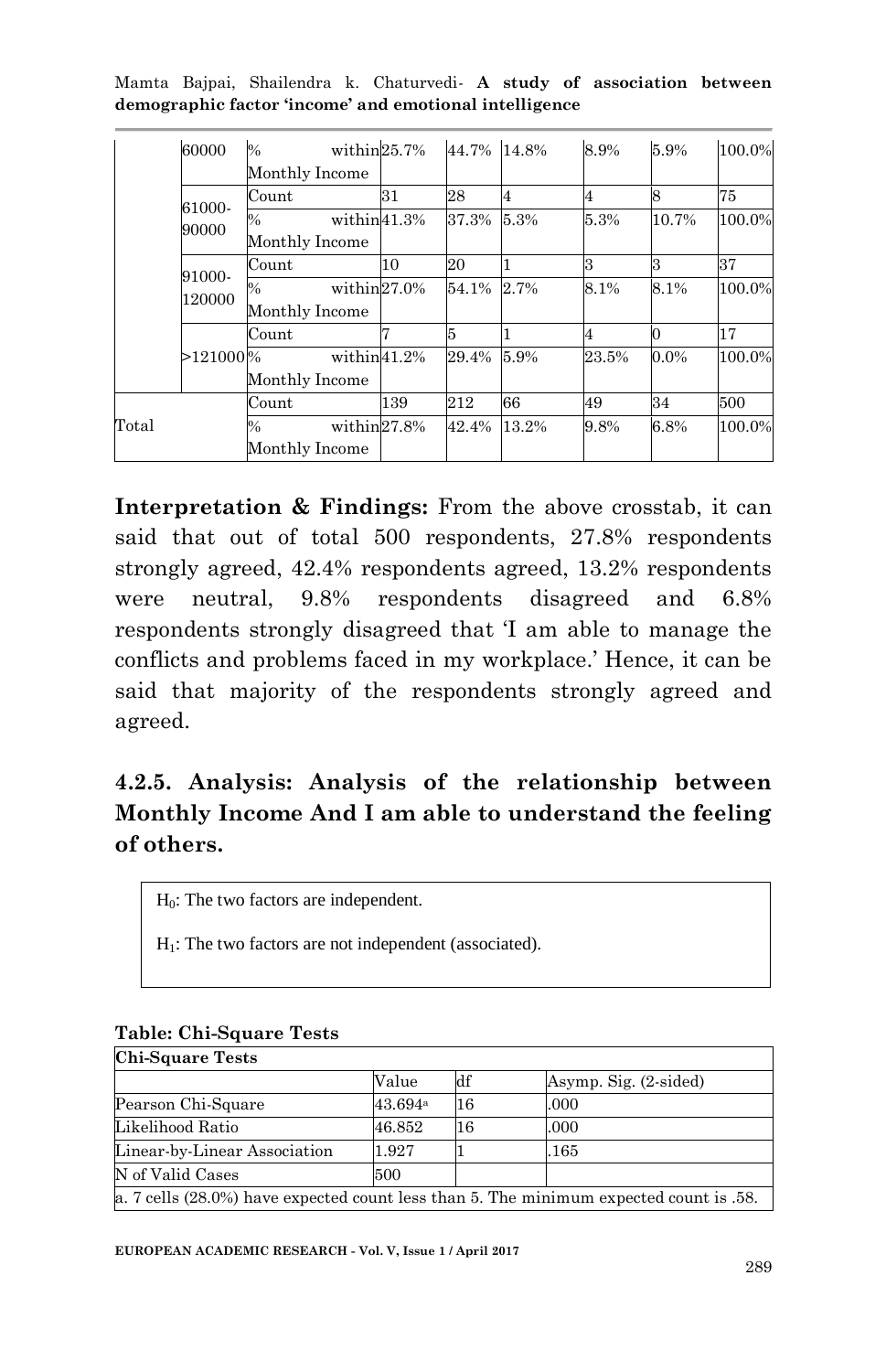|  |  |                                                        |  | Mamta Bajpai, Shailendra k. Chaturvedi- A study of association between |  |
|--|--|--------------------------------------------------------|--|------------------------------------------------------------------------|--|
|  |  | demographic factor 'income' and emotional intelligence |  |                                                                        |  |

|       | 60000       | within $25.7\%$<br>$\%$         |     | 44.7% | 14.8% | 8.9%  | 5.9%    | 100.0% |
|-------|-------------|---------------------------------|-----|-------|-------|-------|---------|--------|
|       |             | Monthly Income                  |     |       |       |       |         |        |
|       | 61000-      | Count                           | 31  | 28    |       |       | 8       | 75     |
|       | 90000       | within $41.3%$<br>$\frac{0}{0}$ |     | 37.3% | 5.3%  | 5.3%  | 10.7%   | 100.0% |
|       |             | Monthly Income                  |     |       |       |       |         |        |
|       | 91000-      | Count                           | 10  | 20    |       | 3     | 3       | 37     |
|       | 120000      | within27.0%<br>$\%$             |     | 54.1% | 2.7%  | 8.1%  | 8.1%    | 100.0% |
|       |             | Monthly Income                  |     |       |       |       |         |        |
|       |             | Count                           |     | 5     |       |       |         | 17     |
|       | $>121000\%$ | within41.2%                     |     | 29.4% | 5.9%  | 23.5% | $0.0\%$ | 100.0% |
|       |             | Monthly Income                  |     |       |       |       |         |        |
|       |             | Count                           | 139 | 212   | 66    | 49    | 34      | 500    |
| Total |             | within27.8%<br>$\%$             |     | 42.4% | 13.2% | 9.8%  | 6.8%    | 100.0% |
|       |             | Monthly Income                  |     |       |       |       |         |        |

**Interpretation & Findings:** From the above crosstab, it can said that out of total 500 respondents, 27.8% respondents strongly agreed, 42.4% respondents agreed, 13.2% respondents were neutral, 9.8% respondents disagreed and 6.8% respondents strongly disagreed that "I am able to manage the conflicts and problems faced in my workplace.' Hence, it can be said that majority of the respondents strongly agreed and agreed.

# **4.2.5. Analysis: Analysis of the relationship between Monthly Income And I am able to understand the feeling of others.**

 $H_0$ : The two factors are independent.

H<sub>1</sub>: The two factors are not independent (associated).

| <b>Chi-Square Tests</b>      |                  |    |                                                                                        |  |  |  |  |  |
|------------------------------|------------------|----|----------------------------------------------------------------------------------------|--|--|--|--|--|
|                              | Value            | df | Asymp. Sig. (2-sided)                                                                  |  |  |  |  |  |
| Pearson Chi-Square           | $43.694^{\rm a}$ | 16 | .000                                                                                   |  |  |  |  |  |
| Likelihood Ratio             | 46.852           | 16 | .000                                                                                   |  |  |  |  |  |
| Linear-by-Linear Association | 1.927            |    | .165                                                                                   |  |  |  |  |  |
| N of Valid Cases             | 500              |    |                                                                                        |  |  |  |  |  |
|                              |                  |    | a. 7 cells (28.0%) have expected count less than 5. The minimum expected count is .58. |  |  |  |  |  |

 $T$ ool Used: Chi  $\mathcal{L}$  Used: Chi  $\mathcal{L}$   $\mathcal{L}$   $\mathcal{L}$   $\mathcal{L}$   $\mathcal{L}$   $\mathcal{L}$   $\mathcal{L}$   $\mathcal{L}$   $\mathcal{L}$   $\mathcal{L}$   $\mathcal{L}$   $\mathcal{L}$   $\mathcal{L}$   $\mathcal{L}$   $\mathcal{L}$   $\mathcal{L}$   $\mathcal{L}$   $\mathcal{L}$   $\mathcal{L}$   $\mathcal{L}$   $\mathcal{$ 

#### **Table: Chi-Square Tests**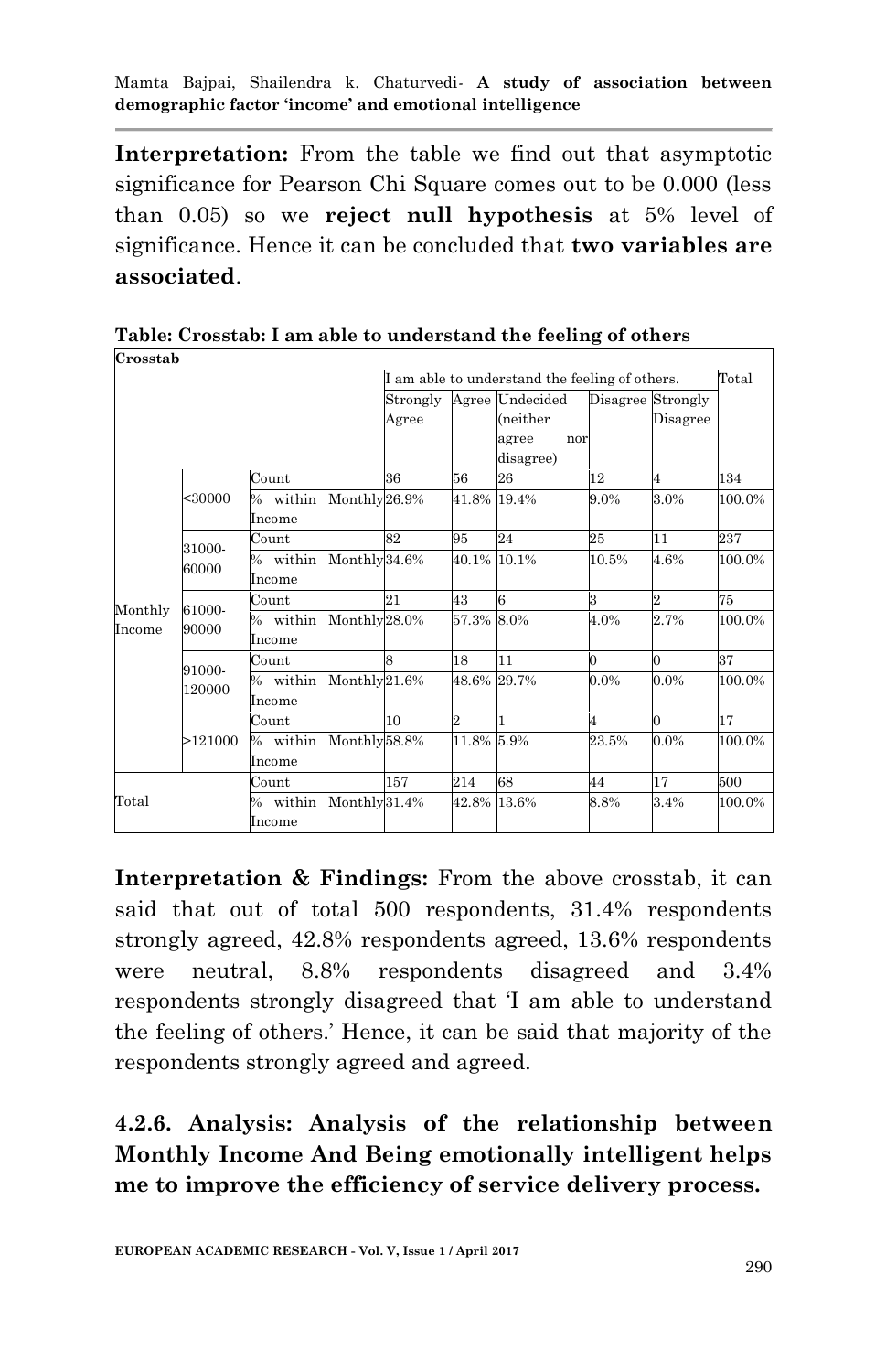**Interpretation:** From the table we find out that asymptotic significance for Pearson Chi Square comes out to be 0.000 (less than 0.05) so we **reject null hypothesis** at 5% level of significance. Hence it can be concluded that **two variables are associated**.

| Crosstab          |                  |                                                         |          |                |                 |                   |                |        |  |
|-------------------|------------------|---------------------------------------------------------|----------|----------------|-----------------|-------------------|----------------|--------|--|
|                   |                  | Total<br>I am able to understand the feeling of others. |          |                |                 |                   |                |        |  |
|                   |                  |                                                         | Strongly |                | Agree Undecided | Disagree Strongly |                |        |  |
|                   |                  |                                                         | Agree    |                | (neither        |                   | Disagree       |        |  |
|                   |                  |                                                         |          |                | agree<br>nor    |                   |                |        |  |
|                   |                  |                                                         |          |                | disagree)       |                   |                |        |  |
|                   |                  | Count                                                   | 36       | 56             | 26              | 12                | 4              | 134    |  |
|                   | $30000$          | % within Monthly26.9%<br>Income                         |          | 41.8% 19.4%    |                 | 9.0%              | 3.0%           | 100.0% |  |
|                   | 31000-<br>60000  | Count                                                   | 82       | 95             | 24              | 25                | 11             | 237    |  |
|                   |                  | % within Monthly34.6%<br>Income                         |          | 40.1% 10.1%    |                 | 10.5%             | 4.6%           | 100.0% |  |
|                   | 61000-<br>90000  | Count                                                   | 21       | 43             | 6               | 3                 | $\overline{2}$ | 75     |  |
| Monthly<br>Income |                  | % within Monthly28.0%<br>Income                         |          | 57.3% 8.0%     |                 | 4.0%              | 2.7%           | 100.0% |  |
|                   |                  | Count                                                   | 8        | 18             | 11              | $\mathbf{0}$      | Ю              | 37     |  |
|                   | 91000-<br>120000 | % within Monthly21.6%<br>Income                         |          |                | 48.6% 29.7%     | 0.0%              | 0.0%           | 100.0% |  |
|                   |                  | Count                                                   | 10       | $\overline{2}$ |                 | $\overline{4}$    | $\Omega$       | 17     |  |
|                   | >121000          | % within Monthly58.8%<br>Income                         |          | 11.8% 5.9%     |                 | 23.5%             | 0.0%           | 100.0% |  |
|                   |                  | Count                                                   | 157      | 214            | 68              | 44                | 17             | 500    |  |
| Total             |                  | % within Monthly 31.4%<br>Income                        |          | 42.8% 13.6%    |                 | 8.8%              | 3.4%           | 100.0% |  |

**Table: Crosstab: I am able to understand the feeling of others**

**Interpretation & Findings:** From the above crosstab, it can said that out of total 500 respondents, 31.4% respondents strongly agreed, 42.8% respondents agreed, 13.6% respondents were neutral, 8.8% respondents disagreed and 3.4% respondents strongly disagreed that "I am able to understand the feeling of others." Hence, it can be said that majority of the respondents strongly agreed and agreed.

**4.2.6. Analysis: Analysis of the relationship between Monthly Income And Being emotionally intelligent helps me to improve the efficiency of service delivery process.**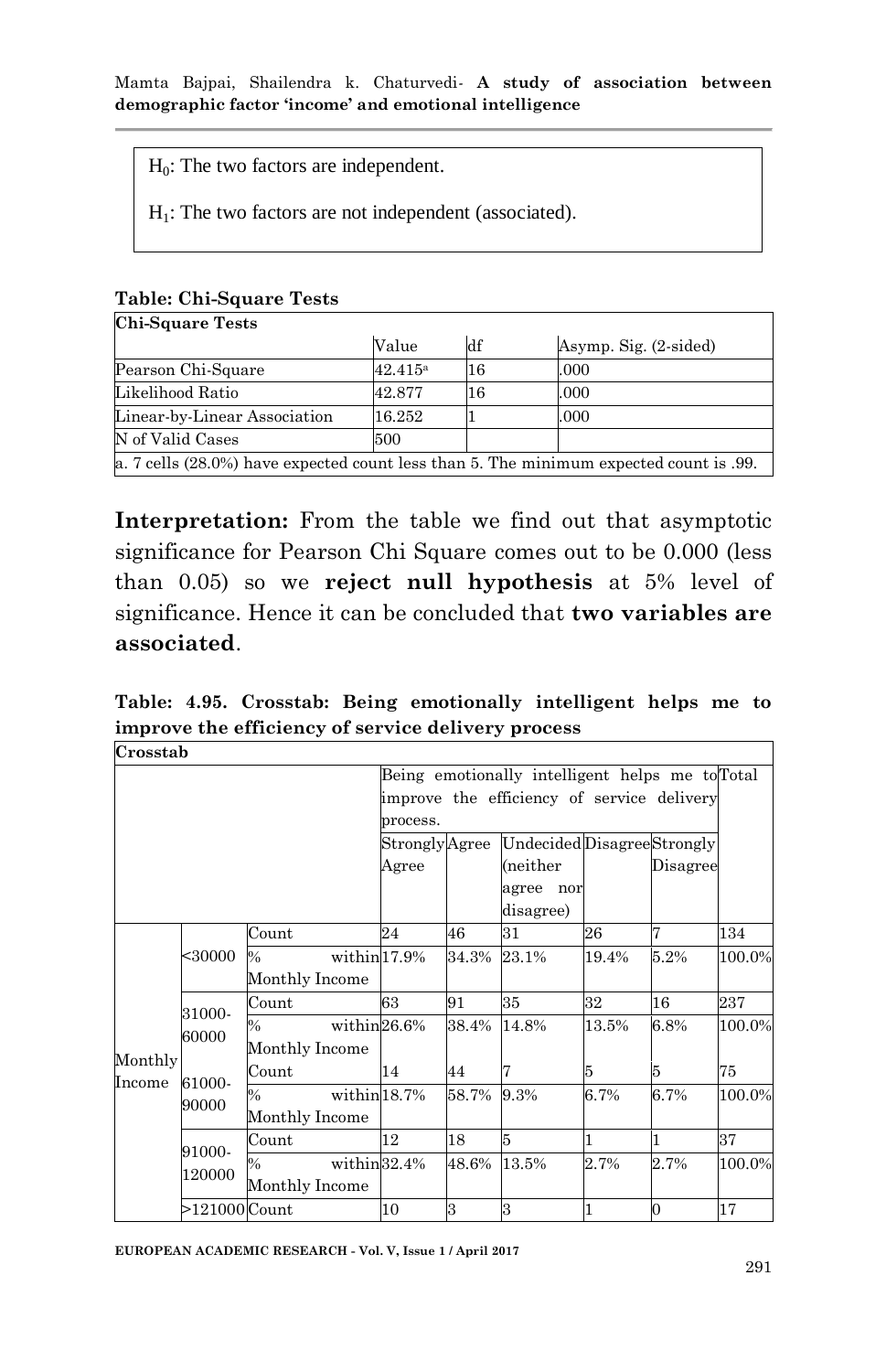$H<sub>0</sub>$ : The two factors are independent.

 $H<sub>1</sub>$ : The two factors are not independent (associated).

Tool Used: Chi Square Test (Analyze Descriptive

#### **Table: Chi-Square Tests**

| <b>Chi-Square Tests</b>                                                                |                     |    |                       |  |  |  |  |  |
|----------------------------------------------------------------------------------------|---------------------|----|-----------------------|--|--|--|--|--|
|                                                                                        | Value               | df | Asymp. Sig. (2-sided) |  |  |  |  |  |
| Pearson Chi-Square                                                                     | 42.415 <sup>a</sup> | 16 | .000                  |  |  |  |  |  |
| Likelihood Ratio                                                                       | 42.877              | 16 | .000                  |  |  |  |  |  |
| Linear-by-Linear Association                                                           | 16.252              |    | .000                  |  |  |  |  |  |
| N of Valid Cases                                                                       | 500                 |    |                       |  |  |  |  |  |
| a. 7 cells (28.0%) have expected count less than 5. The minimum expected count is .99. |                     |    |                       |  |  |  |  |  |

**Interpretation:** From the table we find out that asymptotic significance for Pearson Chi Square comes out to be 0.000 (less than 0.05) so we **reject null hypothesis** at 5% level of significance. Hence it can be concluded that **two variables are associated**.

**Table: 4.95. Crosstab: Being emotionally intelligent helps me to improve the efficiency of service delivery process**

| Crosstab |                 |                                                 |                                            |       |                             |       |              |        |  |  |  |
|----------|-----------------|-------------------------------------------------|--------------------------------------------|-------|-----------------------------|-------|--------------|--------|--|--|--|
|          |                 | Being emotionally intelligent helps me to Total |                                            |       |                             |       |              |        |  |  |  |
|          |                 |                                                 | improve the efficiency of service delivery |       |                             |       |              |        |  |  |  |
|          |                 |                                                 | process.                                   |       |                             |       |              |        |  |  |  |
|          |                 |                                                 | StronglyAgree                              |       | Undecided Disagree Strongly |       |              |        |  |  |  |
|          |                 |                                                 | Agree                                      |       | (neither                    |       | Disagree     |        |  |  |  |
|          |                 |                                                 |                                            |       | agree nor                   |       |              |        |  |  |  |
|          |                 |                                                 |                                            |       | disagree)                   |       |              |        |  |  |  |
|          | <30000          | Count                                           | 24                                         | 46    | 31                          | 26    |              | 134    |  |  |  |
|          |                 | within 17.9%<br>$\%$                            |                                            | 34.3% | 23.1%                       | 19.4% | 5.2%         | 100.0% |  |  |  |
|          |                 | Monthly Income                                  |                                            |       |                             |       |              |        |  |  |  |
|          | 31000-          | Count                                           | 63                                         | 91    | 35                          | 32    | 16           | 237    |  |  |  |
|          |                 | $\%$<br>within 26.6%                            |                                            | 38.4% | 14.8%                       | 13.5% | 6.8%         | 100.0% |  |  |  |
|          | 60000           | Monthly Income                                  |                                            |       |                             |       |              |        |  |  |  |
| Monthly  |                 | Count                                           | 14                                         | 44    | 7                           | 5     | 5            | 75     |  |  |  |
| Income   | 61000-          | $\%$<br>within 18.7%                            |                                            | 58.7% | 9.3%                        | 6.7%  | 6.7%         | 100.0% |  |  |  |
|          | 90000           | Monthly Income                                  |                                            |       |                             |       |              |        |  |  |  |
|          |                 | Count                                           | 12                                         | 18    | 5                           |       | $\mathbf{1}$ | 37     |  |  |  |
|          | 91000-          | $\frac{0}{6}$<br>within 32.4%                   |                                            | 48.6% | 13.5%                       | 2.7%  | 2.7%         | 100.0% |  |  |  |
|          | 120000          | Monthly Income                                  |                                            |       |                             |       |              |        |  |  |  |
|          | $>121000$ Count |                                                 | 10                                         | 3     | 3                           |       | $\Omega$     | 17     |  |  |  |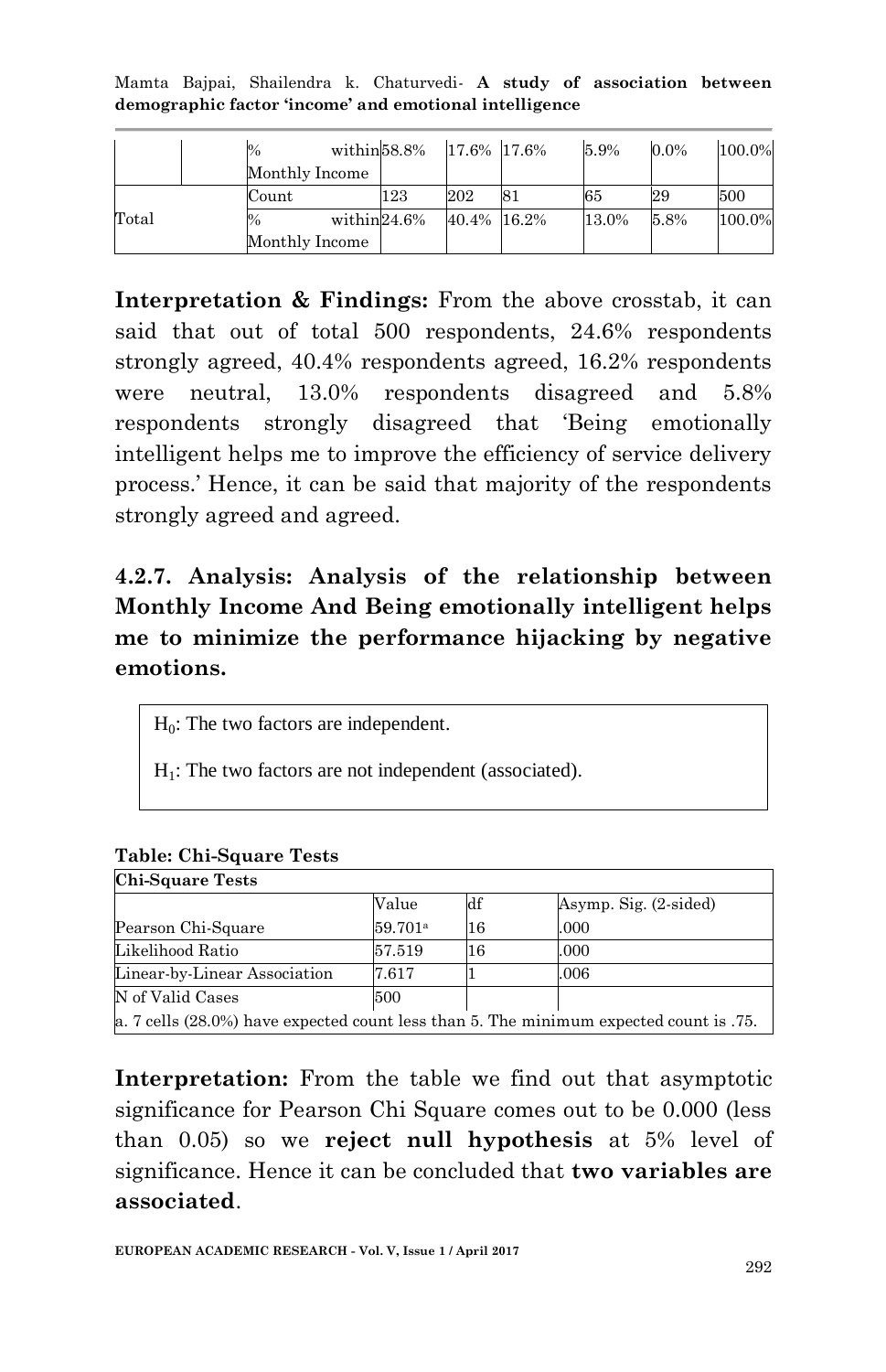|       |  | %               | within $58.8\%$ | 17.6% 17.6% | 5.9%  | $0.0\%$ | 100.0% |
|-------|--|-----------------|-----------------|-------------|-------|---------|--------|
|       |  | Monthly Income  |                 |             |       |         |        |
|       |  | Count           | 123             | 202         | 65    | 29      | 500    |
| Total |  | $\frac{10}{20}$ | within $24.6\%$ | 40.4% 16.2% | 13.0% | 5.8%    | 100.0% |
|       |  | Monthly Income  |                 |             |       |         |        |

**Interpretation & Findings:** From the above crosstab, it can said that out of total 500 respondents, 24.6% respondents strongly agreed, 40.4% respondents agreed, 16.2% respondents were neutral, 13.0% respondents disagreed and 5.8% respondents strongly disagreed that "Being emotionally intelligent helps me to improve the efficiency of service delivery process." Hence, it can be said that majority of the respondents strongly agreed and agreed.

**4.2.7. Analysis: Analysis of the relationship between Monthly Income And Being emotionally intelligent helps me to minimize the performance hijacking by negative emotions.**

 $H_0$ : The two factors are independent.

 $H<sub>1</sub>$ : The two factors are not independent (associated).

| <b>Chi-Square Tests</b>      |                     |    |                                                                                        |  |  |  |  |  |
|------------------------------|---------------------|----|----------------------------------------------------------------------------------------|--|--|--|--|--|
|                              | Value               | df | Asymp. Sig. (2-sided)                                                                  |  |  |  |  |  |
| Pearson Chi-Square           | 59.701 <sup>a</sup> | 16 | .000                                                                                   |  |  |  |  |  |
| Likelihood Ratio             | 57.519              | 16 | .000                                                                                   |  |  |  |  |  |
| Linear-by-Linear Association | 7.617               |    | .006                                                                                   |  |  |  |  |  |
| N of Valid Cases             | 500                 |    |                                                                                        |  |  |  |  |  |
|                              |                     |    | a. 7 cells (28.0%) have expected count less than 5. The minimum expected count is .75. |  |  |  |  |  |

Tool Used: Chi Square Test (Analyze Descriptive

#### **Table: Chi-Square Tests**

**Interpretation:** From the table we find out that asymptotic significance for Pearson Chi Square comes out to be 0.000 (less than 0.05) so we **reject null hypothesis** at 5% level of significance. Hence it can be concluded that **two variables are associated**.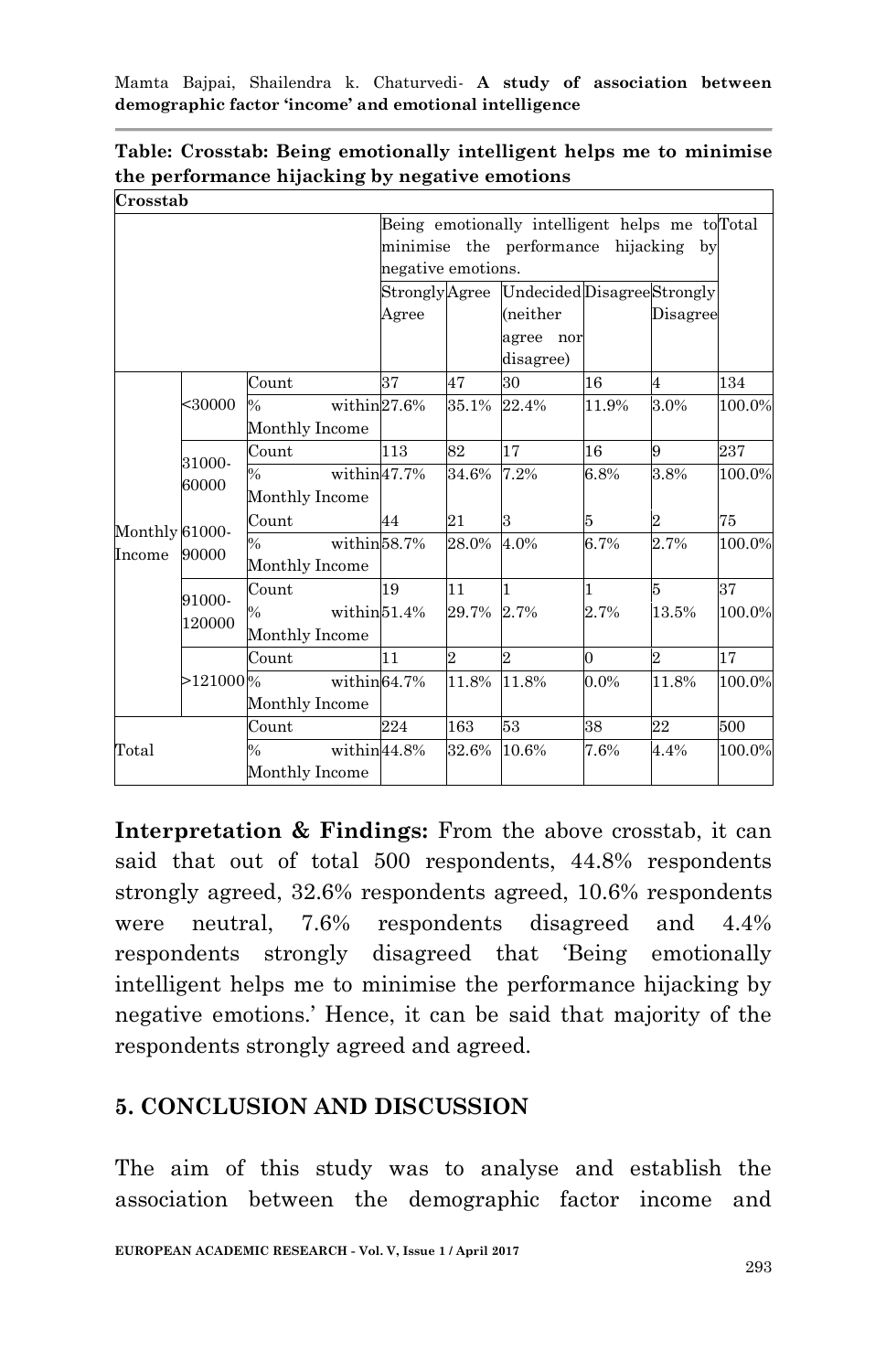| Crosstab       |                 |                                  |                                            |                |                                                 |         |                |        |  |  |
|----------------|-----------------|----------------------------------|--------------------------------------------|----------------|-------------------------------------------------|---------|----------------|--------|--|--|
|                |                 |                                  |                                            |                | Being emotionally intelligent helps me to Total |         |                |        |  |  |
|                |                 |                                  | minimise the performance hijacking by      |                |                                                 |         |                |        |  |  |
|                |                 |                                  | negative emotions.                         |                |                                                 |         |                |        |  |  |
|                |                 |                                  | Strongly Agree Undecided Disagree Strongly |                |                                                 |         |                |        |  |  |
|                |                 |                                  | Agree                                      |                | (neither                                        |         | Disagree       |        |  |  |
|                |                 |                                  |                                            |                | agree nor                                       |         |                |        |  |  |
|                |                 |                                  |                                            |                | disagree)                                       |         |                |        |  |  |
|                |                 | Count                            | 37                                         | 47             | 30                                              | 16      | $\overline{4}$ | 134    |  |  |
|                | $30000$         | within27.6%<br>$\%$              |                                            | 35.1% 22.4%    |                                                 | 11.9%   | 3.0%           | 100.0% |  |  |
|                |                 | Monthly Income                   |                                            |                |                                                 |         |                |        |  |  |
|                | 31000-<br>60000 | Count                            | 113                                        | 82             | 17                                              | 16      | 9              | 237    |  |  |
|                |                 | within47.7%<br>$\frac{0}{0}$     |                                            | 34.6% 7.2%     |                                                 | 6.8%    | 3.8%           | 100.0% |  |  |
|                |                 | Monthly Income                   |                                            |                |                                                 |         |                |        |  |  |
|                |                 | Count                            | 44                                         | 21             | 3                                               | 5       | $\overline{2}$ | 75     |  |  |
| Monthly 61000- |                 | within <sup>58.7%</sup><br>$\%$  |                                            | 28.0%          | 4.0%                                            | 6.7%    | 2.7%           | 100.0% |  |  |
| Income         | 90000           | Monthly Income                   |                                            |                |                                                 |         |                |        |  |  |
|                |                 | Count                            | 19                                         | 11             | I1.                                             | 1       | 5              | 37     |  |  |
|                | 91000-          | within $51.4\%$<br>$\frac{0}{6}$ |                                            | 29.7% 2.7%     |                                                 | 2.7%    | 13.5%          | 100.0% |  |  |
|                | 120000          | Monthly Income                   |                                            |                |                                                 |         |                |        |  |  |
|                |                 | Count                            | 11                                         | $\overline{2}$ | $\mathbf{2}$                                    | 0       | $\overline{2}$ | 17     |  |  |
|                | >121000%        | within 64.7%                     |                                            | 11.8% 11.8%    |                                                 | $0.0\%$ | 11.8%          | 100.0% |  |  |
|                |                 | Monthly Income                   |                                            |                |                                                 |         |                |        |  |  |
|                |                 | Count                            | 224                                        | 163            | 53                                              | 38      | 22             | 500    |  |  |
| Total          |                 | within44.8%<br>$\%$              |                                            | 32.6%          | 10.6%                                           | 7.6%    | 4.4%           | 100.0% |  |  |
|                |                 | Monthly Income                   |                                            |                |                                                 |         |                |        |  |  |

**Table: Crosstab: Being emotionally intelligent helps me to minimise the performance hijacking by negative emotions**

**Interpretation & Findings:** From the above crosstab, it can said that out of total 500 respondents, 44.8% respondents strongly agreed, 32.6% respondents agreed, 10.6% respondents were neutral, 7.6% respondents disagreed and 4.4% respondents strongly disagreed that "Being emotionally intelligent helps me to minimise the performance hijacking by negative emotions." Hence, it can be said that majority of the respondents strongly agreed and agreed.

### **5. CONCLUSION AND DISCUSSION**

The aim of this study was to analyse and establish the association between the demographic factor income and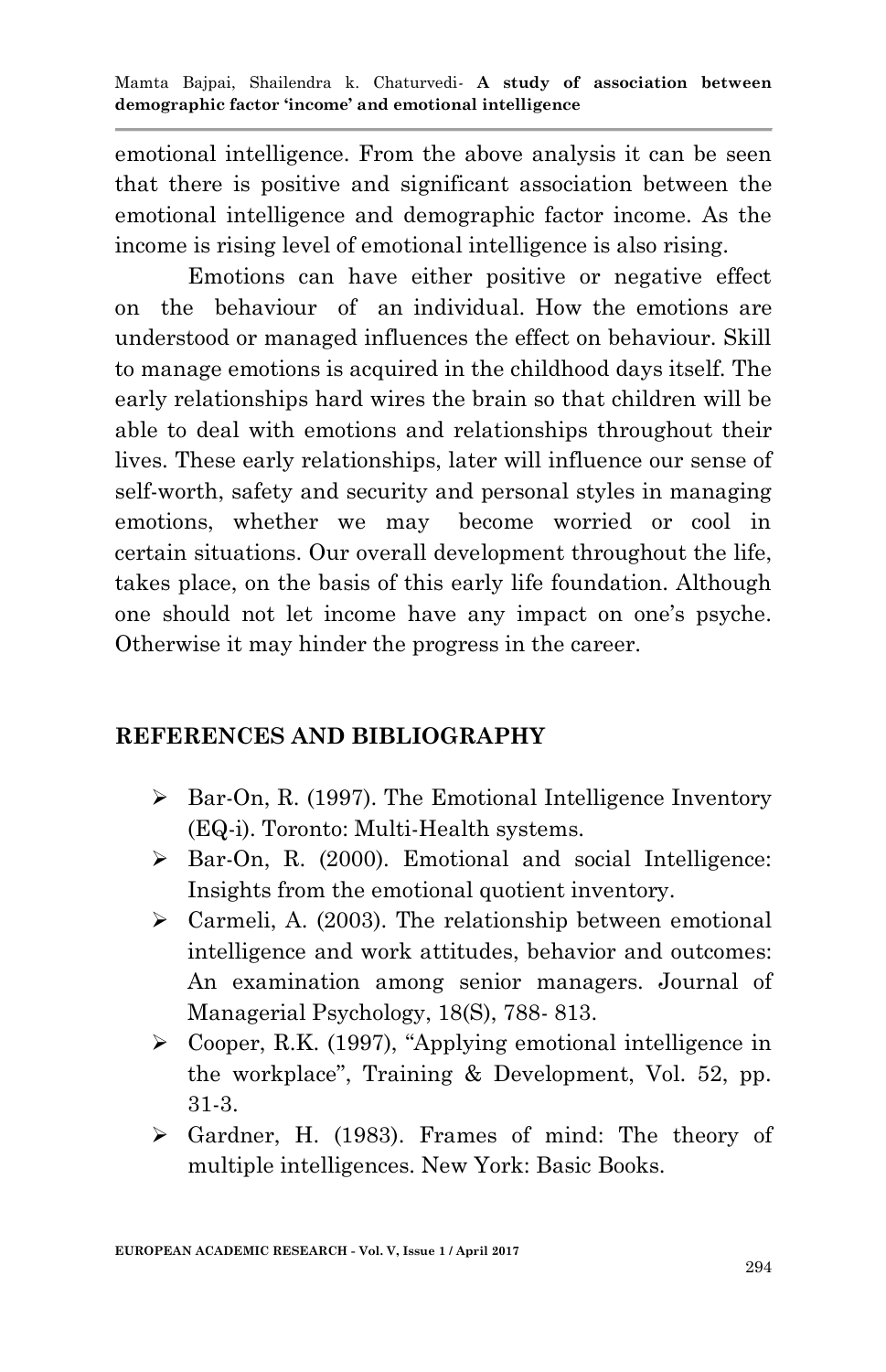emotional intelligence. From the above analysis it can be seen that there is positive and significant association between the emotional intelligence and demographic factor income. As the income is rising level of emotional intelligence is also rising.

Emotions can have either positive or negative effect on the behaviour of an individual. How the emotions are understood or managed influences the effect on behaviour. Skill to manage emotions is acquired in the childhood days itself. The early relationships hard wires the brain so that children will be able to deal with emotions and relationships throughout their lives. These early relationships, later will influence our sense of self-worth, safety and security and personal styles in managing emotions, whether we may become worried or cool in certain situations. Our overall development throughout the life, takes place, on the basis of this early life foundation. Although one should not let income have any impact on one"s psyche. Otherwise it may hinder the progress in the career.

### **REFERENCES AND BIBLIOGRAPHY**

- $\triangleright$  Bar-On, R. (1997). The Emotional Intelligence Inventory (EQ-i). Toronto: Multi-Health systems.
- $\triangleright$  Bar-On, R. (2000). Emotional and social Intelligence: Insights from the emotional quotient inventory.
- $\triangleright$  Carmeli, A. (2003). The relationship between emotional intelligence and work attitudes, behavior and outcomes: An examination among senior managers. Journal of Managerial Psychology, 18(S), 788- 813.
- Cooper, R.K. (1997), "Applying emotional intelligence in the workplace", Training & Development, Vol. 52, pp. 31-3.
- $\triangleright$  Gardner, H. (1983). Frames of mind: The theory of multiple intelligences. New York: Basic Books.